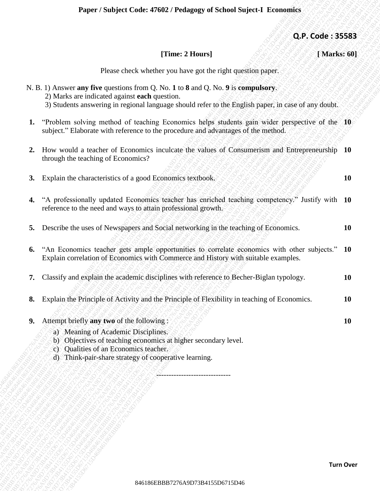## **Paper / Subject Code: 47602 / Pedagogy of School Suject-I Economics**

## **[Time: 2 Hours] [ Marks: 60]**

| [Time: 2 Hours]<br>[Marks: 60]<br>Please check whether you have got the right question paper.<br>N. B. 1) Answer any five questions from Q. No. 1 to 8 and Q. No. 9 is compulsory.<br>2) Marks are indicated against each question.<br>3) Students answering in regional language should refer to the English paper, in case of any doubt.<br>"Problem solving method of teaching Economics helps students gain wider perspective of the 10<br>1.<br>subject." Elaborate with reference to the procedure and advantages of the method.<br>How would a teacher of Economics inculcate the values of Consumerism and Entrepreneurship 10<br>2.<br>through the teaching of Economics?<br>Explain the characteristics of a good Economics textbook.<br><b>10</b><br>3.<br>"A professionally updated Economics teacher has enriched teaching competency." Justify with 10<br>4.<br>reference to the need and ways to attain professional growth.<br>Describe the uses of Newspapers and Social networking in the teaching of Economics.<br>10<br>5.<br>"An Economics teacher gets ample opportunities to correlate economics with other subjects." 10<br>6.<br>Explain correlation of Economics with Commerce and History with suitable examples.<br>Classify and explain the academic disciplines with reference to Becher-Biglan typology.<br><b>10</b><br>7.<br>Explain the Principle of Activity and the Principle of Flexibility in teaching of Economics.<br><b>10</b><br>8.<br>Attempt briefly any two of the following:<br>10<br>9.<br>a) Meaning of Academic Disciplines.<br>b) Objectives of teaching economics at higher secondary level.<br>c) Qualities of an Economics teacher.<br>d) Think-pair-share strategy of cooperative learning. | Q.P. Code: 35583 |  |
|---------------------------------------------------------------------------------------------------------------------------------------------------------------------------------------------------------------------------------------------------------------------------------------------------------------------------------------------------------------------------------------------------------------------------------------------------------------------------------------------------------------------------------------------------------------------------------------------------------------------------------------------------------------------------------------------------------------------------------------------------------------------------------------------------------------------------------------------------------------------------------------------------------------------------------------------------------------------------------------------------------------------------------------------------------------------------------------------------------------------------------------------------------------------------------------------------------------------------------------------------------------------------------------------------------------------------------------------------------------------------------------------------------------------------------------------------------------------------------------------------------------------------------------------------------------------------------------------------------------------------------------------------------------------------------------------------------------------------------------------------|------------------|--|
|                                                                                                                                                                                                                                                                                                                                                                                                                                                                                                                                                                                                                                                                                                                                                                                                                                                                                                                                                                                                                                                                                                                                                                                                                                                                                                                                                                                                                                                                                                                                                                                                                                                                                                                                                   |                  |  |
|                                                                                                                                                                                                                                                                                                                                                                                                                                                                                                                                                                                                                                                                                                                                                                                                                                                                                                                                                                                                                                                                                                                                                                                                                                                                                                                                                                                                                                                                                                                                                                                                                                                                                                                                                   |                  |  |
|                                                                                                                                                                                                                                                                                                                                                                                                                                                                                                                                                                                                                                                                                                                                                                                                                                                                                                                                                                                                                                                                                                                                                                                                                                                                                                                                                                                                                                                                                                                                                                                                                                                                                                                                                   |                  |  |
|                                                                                                                                                                                                                                                                                                                                                                                                                                                                                                                                                                                                                                                                                                                                                                                                                                                                                                                                                                                                                                                                                                                                                                                                                                                                                                                                                                                                                                                                                                                                                                                                                                                                                                                                                   |                  |  |
|                                                                                                                                                                                                                                                                                                                                                                                                                                                                                                                                                                                                                                                                                                                                                                                                                                                                                                                                                                                                                                                                                                                                                                                                                                                                                                                                                                                                                                                                                                                                                                                                                                                                                                                                                   |                  |  |
|                                                                                                                                                                                                                                                                                                                                                                                                                                                                                                                                                                                                                                                                                                                                                                                                                                                                                                                                                                                                                                                                                                                                                                                                                                                                                                                                                                                                                                                                                                                                                                                                                                                                                                                                                   |                  |  |
|                                                                                                                                                                                                                                                                                                                                                                                                                                                                                                                                                                                                                                                                                                                                                                                                                                                                                                                                                                                                                                                                                                                                                                                                                                                                                                                                                                                                                                                                                                                                                                                                                                                                                                                                                   |                  |  |
|                                                                                                                                                                                                                                                                                                                                                                                                                                                                                                                                                                                                                                                                                                                                                                                                                                                                                                                                                                                                                                                                                                                                                                                                                                                                                                                                                                                                                                                                                                                                                                                                                                                                                                                                                   |                  |  |
|                                                                                                                                                                                                                                                                                                                                                                                                                                                                                                                                                                                                                                                                                                                                                                                                                                                                                                                                                                                                                                                                                                                                                                                                                                                                                                                                                                                                                                                                                                                                                                                                                                                                                                                                                   |                  |  |
|                                                                                                                                                                                                                                                                                                                                                                                                                                                                                                                                                                                                                                                                                                                                                                                                                                                                                                                                                                                                                                                                                                                                                                                                                                                                                                                                                                                                                                                                                                                                                                                                                                                                                                                                                   |                  |  |
|                                                                                                                                                                                                                                                                                                                                                                                                                                                                                                                                                                                                                                                                                                                                                                                                                                                                                                                                                                                                                                                                                                                                                                                                                                                                                                                                                                                                                                                                                                                                                                                                                                                                                                                                                   |                  |  |
|                                                                                                                                                                                                                                                                                                                                                                                                                                                                                                                                                                                                                                                                                                                                                                                                                                                                                                                                                                                                                                                                                                                                                                                                                                                                                                                                                                                                                                                                                                                                                                                                                                                                                                                                                   |                  |  |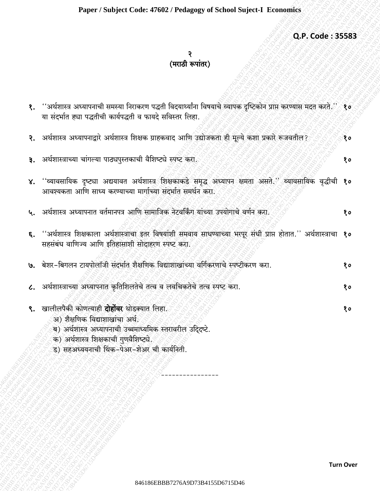Q.P. Code: 35583

## २<br>(मराठी रूपांतर)

| १. ''अर्थशास्त्र अध्यापनाची समस्या निराकरण पद्धती विदयार्थ्यांना विषयाचे व्यापक दृष्टिकोन प्राप्त करण्यास मदत करते.'' १०<br>या संदर्भात ह्या पद्धतीची कार्यपद्धती व फायदे सविस्तर लिहा.                                                           |    |
|---------------------------------------------------------------------------------------------------------------------------------------------------------------------------------------------------------------------------------------------------|----|
| २. अर्थशास्त्र अध्यापनाद्वारे अर्थशास्त्र शिक्षक ग्राहकवाद आणि उद्योजकता ही मूल्ये कशा प्रकारे रूजवतील?                                                                                                                                           | १० |
| ३. अर्थशास्त्राच्या चांगल्या पाठ्यपुस्तकाची वैशिष्ट्ये स्पष्ट करा.                                                                                                                                                                                | 80 |
| ४. ''व्यावसायिक दृष्ट्या अद्ययावत अर्थशास्त्र शिक्षकाकडे समृद्ध अध्यापन क्षमता असते.'' व्यावसायिक वृद्धीची १०<br>आवश्यकता आणि साध्य करण्याच्या मार्गाच्या संदर्भात समर्थन करा.                                                                    |    |
| ५. अर्थशास्त्र अध्यापनात वर्तमानपत्र आणि सामाजिक नेटवर्किंग यांच्या उपयोगाचे वर्णन करा.                                                                                                                                                           | १० |
| ६. ''अर्थशास्त्र शिक्षकाला अर्थशास्त्राचा इतर विषयांशी समवाय साधण्याच्या भरपूर संधी प्राप्त होतात.'' अर्थशास्त्राचा १०<br>सहसंबंध वाणिज्य आणि इतिहासाशी सोदाहरण स्पष्ट करा.                                                                       |    |
| ७. बेशर-बिगलन टायपोलॉजी संदर्भात शैक्षणिक विद्याशाखांच्या वर्गिकरणाचे स्पष्टीकरण करा.                                                                                                                                                             | १० |
| ८. अर्थशास्त्राच्या अध्यापनात कृतिशिलतेचे तत्व व लवचिकतेचे तत्व स्पष्ट करा.                                                                                                                                                                       | १० |
| ९. खालीलपैकी कोणत्याही <b>दोहोंवर</b> थोडक्यात लिहा.<br>अ) शैक्षणिक विद्याशाखांचा अर्थ.<br>ब) अर्थशास्त्र अध्यापनाची उच्चमाध्यमिक स्तरावरील उद्दिदष्टे.<br>क) अर्थशास्त्र शिक्षकाची गुणवैशिष्ट्ये.<br>ड) सहअध्ययनाची थिंक-पेअर-शेअर ची कार्यनिती. | 80 |
|                                                                                                                                                                                                                                                   |    |